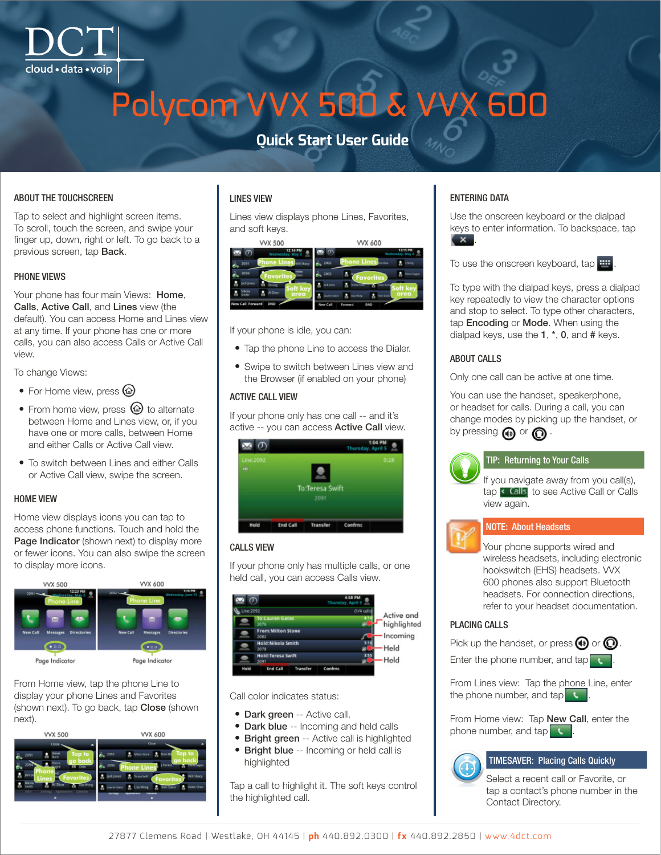# Polycom VVX 500 & VVX 600

### **Quick Start User Guide**

#### ABOUT THE TOUCHSCREEN

Tap to select and highlight screen items. To scroll, touch the screen, and swipe your finger up, down, right or left. To go back to a previous screen, tap Back.

#### PHONE VIEWS

Your phone has four main Views: Home, Calls, Active Call, and Lines view (the default). You can access Home and Lines view at any time. If your phone has one or more calls, you can also access Calls or Active Call view.

To change Views:

- For Home view, press  $\circledcirc$
- From home view, press  $\circledcirc$  to alternate between Home and Lines view, or, if you have one or more calls, between Home and either Calls or Active Call view.
- To switch between Lines and either Calls or Active Call view, swipe the screen.

#### HOME VIEW

Home view displays icons you can tap to access phone functions. Touch and hold the Page Indicator (shown next) to display more or fewer icons. You can also swipe the screen to display more icons.



From Home view, tap the phone Line to display your phone Lines and Favorites (shown next). To go back, tap **Close** (shown next).



#### LINES VIEW

Lines view displays phone Lines, Favorites, and soft keys.

| <b>VVX 500</b>                           | VVX 600                                                       |                    |
|------------------------------------------|---------------------------------------------------------------|--------------------|
| Wednesday, May 2                         | $\sigma$<br>Wednesday, May 2                                  | 12:15 PM           |
| <b>hone Lines</b><br>2091                | Phone Lines<br>68.2092<br>con Ofice                           | 2 triong           |
| elen<br>2094<br>Chen<br><b>Favorites</b> | 2093<br><b>Favorites</b>                                      | <b>Pierre Gagr</b> |
| <b>Jack Jones</b><br>Strong<br>Soft ke   | <b>SCR (GRAN</b> )<br>Soft ke                                 |                    |
| Nikola<br>Al Dion<br>area<br>Smith       | area<br>Lisaner Dates<br><b>Con David</b><br><b>Lisa Wong</b> |                    |
| New Call Forward<br><b>DND</b>           | New Call<br>OND<br>Farward                                    |                    |

If your phone is idle, you can:

- Tap the phone Line to access the Dialer.
- Swipe to switch between Lines view and the Browser (if enabled on your phone)

#### ACTIVE CALL VIEW

If your phone only has one call -- and it's active -- you can access Active Call view.



#### CALLS VIEW

If your phone only has multiple calls, or one held call, you can access Calls view.

|           |                                  |            | Thursday, April 5 | 4:50 PM                   |            |
|-----------|----------------------------------|------------|-------------------|---------------------------|------------|
| Line:2092 |                                  | (1/4 calls |                   |                           |            |
|           | <b>To:Lauren Gates</b><br>2076   |            |                   | Active and<br>highlighted |            |
|           | <b>From:Milton Stone</b><br>2082 |            |                   |                           | - Incoming |
|           | Hold: Nikola Smith<br>2078       |            |                   | Held                      |            |
|           | <b>Hold:Teresa Swift</b><br>2091 |            |                   |                           | Held       |
| Hold      | End Call                         | Transfer   | Confrac           |                           |            |

Call color indicates status:

- Dark green -- Active call.
- Dark blue -- Incoming and held calls
- Bright green -- Active call is highlighted
- Bright blue -- Incoming or held call is highlighted

Tap a call to highlight it. The soft keys control the highlighted call.

#### ENTERING DATA

Use the onscreen keyboard or the dialpad keys to enter information. To backspace, tap  $\mathbf{x}$ 



To type with the dialpad keys, press a dialpad key repeatedly to view the character options and stop to select. To type other characters, tap Encoding or Mode. When using the dialpad keys, use the **1**, \*, **0**, and # keys.

#### ABOUT CALLS

Only one call can be active at one time.

You can use the handset, speakerphone, or headset for calls. During a call, you can change modes by picking up the handset, or by pressing  $\bigcirc$  or  $\bigcirc$ .



#### TIP: Returning to Your Calls

If you navigate away from you call(s), tap < Calls to see Active Call or Calls view again.



#### NOTE: About Headsets

Your phone supports wired and wireless headsets, including electronic hookswitch (EHS) headsets. VVX 600 phones also support Bluetooth headsets. For connection directions, refer to your headset documentation.

#### PLACING CALLS

Pick up the handset, or press  $\mathbf{\Theta}$  or  $\mathbf{\mathbf{\odot}}$ .

Enter the phone number, and  $\tan{\theta}$ 

From Lines view: Tap the phone Line, enter the phone number, and tap  $\mathbf t$ .

From Home view: Tap New Call, enter the phone number, and tap

#### TIMESAVER: Placing Calls Quickly

Select a recent call or Favorite, or tap a contact's phone number in the Contact Directory.